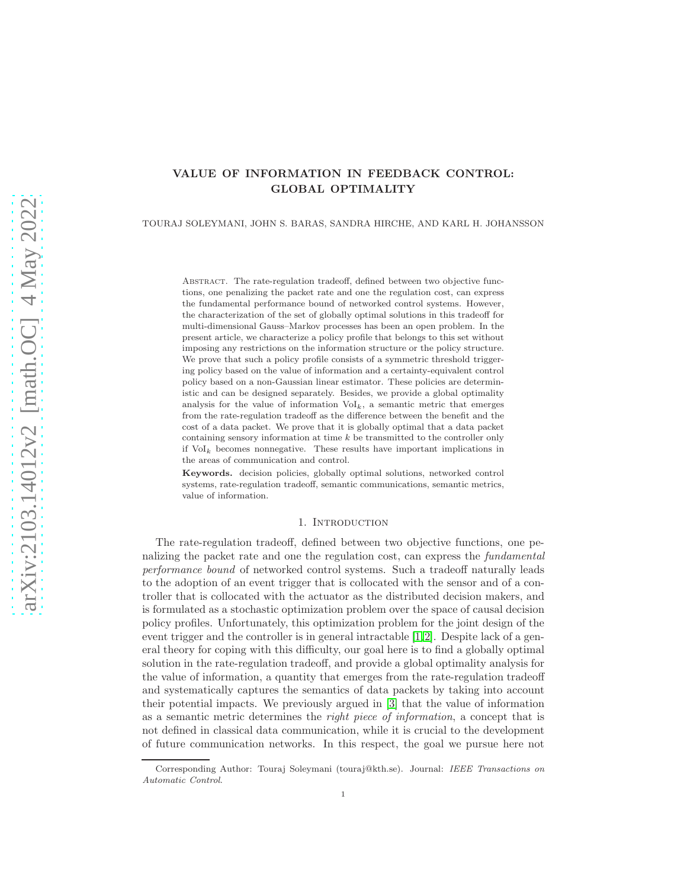# VALUE OF INFORMATION IN FEEDBACK CONTROL: GLOBAL OPTIMALITY

TOURAJ SOLEYMANI, JOHN S. BARAS, SANDRA HIRCHE, AND KARL H. JOHANSSON

Abstract. The rate-regulation tradeoff, defined between two objective functions, one penalizing the packet rate and one the regulation cost, can express the fundamental performance bound of networked control systems. However, the characterization of the set of globally optimal solutions in this tradeoff for multi-dimensional Gauss–Markov processes has been an open problem. In the present article, we characterize a policy profile that belongs to this set without imposing any restrictions on the information structure or the policy structure. We prove that such a policy profile consists of a symmetric threshold triggering policy based on the value of information and a certainty-equivalent control policy based on a non-Gaussian linear estimator. These policies are deterministic and can be designed separately. Besides, we provide a global optimality analysis for the value of information  $\mathrm{Vol}_k$ , a semantic metric that emerges from the rate-regulation tradeoff as the difference between the benefit and the cost of a data packet. We prove that it is globally optimal that a data packet containing sensory information at time  $k$  be transmitted to the controller only if  $Vol_k$  becomes nonnegative. These results have important implications in the areas of communication and control.

Keywords. decision policies, globally optimal solutions, networked control systems, rate-regulation tradeoff, semantic communications, semantic metrics, value of information.

## 1. INTRODUCTION

The rate-regulation tradeoff, defined between two objective functions, one penalizing the packet rate and one the regulation cost, can express the fundamental performance bound of networked control systems. Such a tradeoff naturally leads to the adoption of an event trigger that is collocated with the sensor and of a controller that is collocated with the actuator as the distributed decision makers, and is formulated as a stochastic optimization problem over the space of causal decision policy profiles. Unfortunately, this optimization problem for the joint design of the event trigger and the controller is in general intractable [\[1,](#page-14-0)[2\]](#page-14-1). Despite lack of a general theory for coping with this difficulty, our goal here is to find a globally optimal solution in the rate-regulation tradeoff, and provide a global optimality analysis for the value of information, a quantity that emerges from the rate-regulation tradeoff and systematically captures the semantics of data packets by taking into account their potential impacts. We previously argued in [\[3\]](#page-14-2) that the value of information as a semantic metric determines the right piece of information, a concept that is not defined in classical data communication, while it is crucial to the development of future communication networks. In this respect, the goal we pursue here not

Corresponding Author: Touraj Soleymani (touraj@kth.se). Journal: IEEE Transactions on Automatic Control.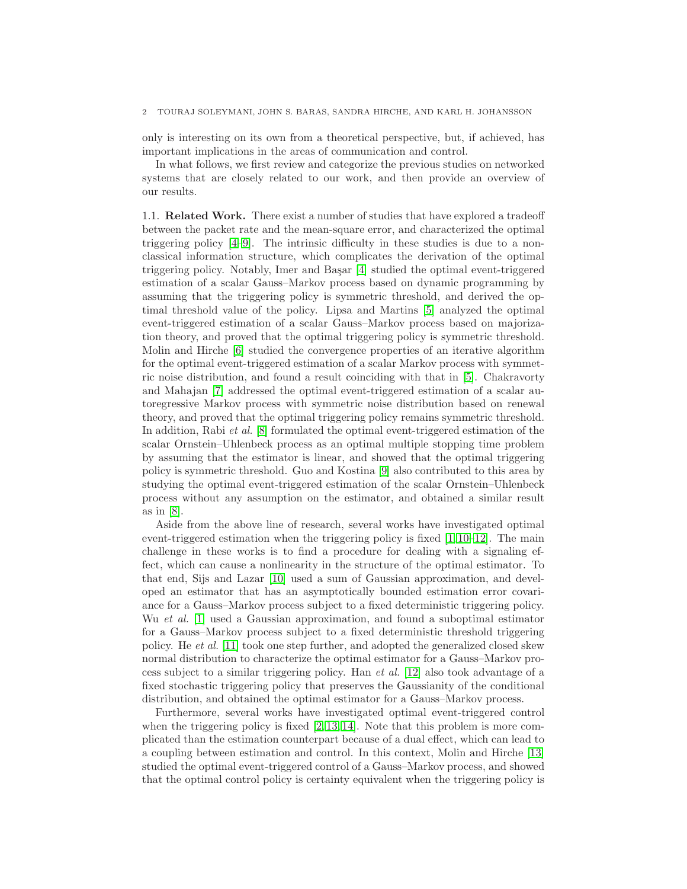## 2 TOURAJ SOLEYMANI, JOHN S. BARAS, SANDRA HIRCHE, AND KARL H. JOHANSSON

only is interesting on its own from a theoretical perspective, but, if achieved, has important implications in the areas of communication and control.

In what follows, we first review and categorize the previous studies on networked systems that are closely related to our work, and then provide an overview of our results.

1.1. Related Work. There exist a number of studies that have explored a tradeoff between the packet rate and the mean-square error, and characterized the optimal triggering policy [\[4](#page-14-3)[–9\]](#page-15-0). The intrinsic difficulty in these studies is due to a nonclassical information structure, which complicates the derivation of the optimal triggering policy. Notably, Imer and Başar [\[4\]](#page-14-3) studied the optimal event-triggered estimation of a scalar Gauss–Markov process based on dynamic programming by assuming that the triggering policy is symmetric threshold, and derived the optimal threshold value of the policy. Lipsa and Martins [\[5\]](#page-14-4) analyzed the optimal event-triggered estimation of a scalar Gauss–Markov process based on majorization theory, and proved that the optimal triggering policy is symmetric threshold. Molin and Hirche [\[6\]](#page-14-5) studied the convergence properties of an iterative algorithm for the optimal event-triggered estimation of a scalar Markov process with symmetric noise distribution, and found a result coinciding with that in [\[5\]](#page-14-4). Chakravorty and Mahajan [\[7\]](#page-14-6) addressed the optimal event-triggered estimation of a scalar autoregressive Markov process with symmetric noise distribution based on renewal theory, and proved that the optimal triggering policy remains symmetric threshold. In addition, Rabi et al. [\[8\]](#page-14-7) formulated the optimal event-triggered estimation of the scalar Ornstein–Uhlenbeck process as an optimal multiple stopping time problem by assuming that the estimator is linear, and showed that the optimal triggering policy is symmetric threshold. Guo and Kostina [\[9\]](#page-15-0) also contributed to this area by studying the optimal event-triggered estimation of the scalar Ornstein–Uhlenbeck process without any assumption on the estimator, and obtained a similar result as in [\[8\]](#page-14-7).

Aside from the above line of research, several works have investigated optimal event-triggered estimation when the triggering policy is fixed  $[1, 10-12]$  $[1, 10-12]$  $[1, 10-12]$ . The main challenge in these works is to find a procedure for dealing with a signaling effect, which can cause a nonlinearity in the structure of the optimal estimator. To that end, Sijs and Lazar [\[10\]](#page-15-1) used a sum of Gaussian approximation, and developed an estimator that has an asymptotically bounded estimation error covariance for a Gauss–Markov process subject to a fixed deterministic triggering policy. Wu et al. [\[1\]](#page-14-0) used a Gaussian approximation, and found a suboptimal estimator for a Gauss–Markov process subject to a fixed deterministic threshold triggering policy. He et al. [\[11\]](#page-15-3) took one step further, and adopted the generalized closed skew normal distribution to characterize the optimal estimator for a Gauss–Markov process subject to a similar triggering policy. Han et al. [\[12\]](#page-15-2) also took advantage of a fixed stochastic triggering policy that preserves the Gaussianity of the conditional distribution, and obtained the optimal estimator for a Gauss–Markov process.

Furthermore, several works have investigated optimal event-triggered control when the triggering policy is fixed  $(2, 13, 14)$  $(2, 13, 14)$  $(2, 13, 14)$ . Note that this problem is more complicated than the estimation counterpart because of a dual effect, which can lead to a coupling between estimation and control. In this context, Molin and Hirche [\[13\]](#page-15-4) studied the optimal event-triggered control of a Gauss–Markov process, and showed that the optimal control policy is certainty equivalent when the triggering policy is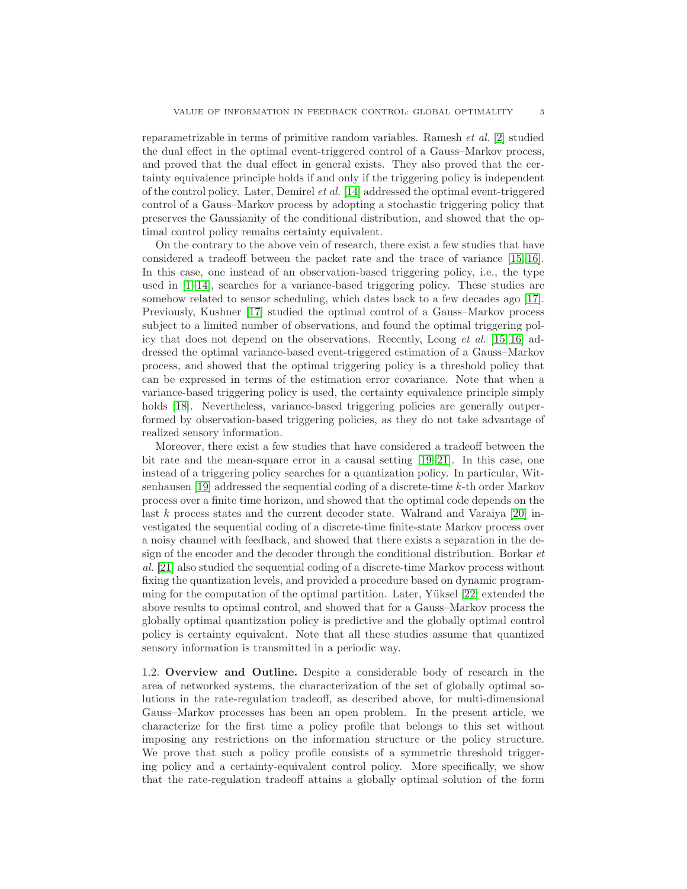reparametrizable in terms of primitive random variables. Ramesh et al. [\[2\]](#page-14-1) studied the dual effect in the optimal event-triggered control of a Gauss–Markov process, and proved that the dual effect in general exists. They also proved that the certainty equivalence principle holds if and only if the triggering policy is independent of the control policy. Later, Demirel et al. [\[14\]](#page-15-5) addressed the optimal event-triggered control of a Gauss–Markov process by adopting a stochastic triggering policy that preserves the Gaussianity of the conditional distribution, and showed that the optimal control policy remains certainty equivalent.

On the contrary to the above vein of research, there exist a few studies that have considered a tradeoff between the packet rate and the trace of variance [\[15,](#page-15-6) [16\]](#page-15-7). In this case, one instead of an observation-based triggering policy, i.e., the type used in  $[1-14]$ , searches for a variance-based triggering policy. These studies are somehow related to sensor scheduling, which dates back to a few decades ago [\[17\]](#page-15-8). Previously, Kushner [\[17\]](#page-15-8) studied the optimal control of a Gauss–Markov process subject to a limited number of observations, and found the optimal triggering policy that does not depend on the observations. Recently, Leong et al. [\[15,](#page-15-6) [16\]](#page-15-7) addressed the optimal variance-based event-triggered estimation of a Gauss–Markov process, and showed that the optimal triggering policy is a threshold policy that can be expressed in terms of the estimation error covariance. Note that when a variance-based triggering policy is used, the certainty equivalence principle simply holds [\[18\]](#page-15-9). Nevertheless, variance-based triggering policies are generally outperformed by observation-based triggering policies, as they do not take advantage of realized sensory information.

Moreover, there exist a few studies that have considered a tradeoff between the bit rate and the mean-square error in a causal setting [\[19–](#page-15-10)[21\]](#page-15-11). In this case, one instead of a triggering policy searches for a quantization policy. In particular, Witsenhausen [\[19\]](#page-15-10) addressed the sequential coding of a discrete-time k-th order Markov process over a finite time horizon, and showed that the optimal code depends on the last  $k$  process states and the current decoder state. Walrand and Varaiya [\[20\]](#page-15-12) investigated the sequential coding of a discrete-time finite-state Markov process over a noisy channel with feedback, and showed that there exists a separation in the design of the encoder and the decoder through the conditional distribution. Borkar et al. [\[21\]](#page-15-11) also studied the sequential coding of a discrete-time Markov process without fixing the quantization levels, and provided a procedure based on dynamic programming for the computation of the optimal partition. Later, Yüksel  $[22]$  extended the above results to optimal control, and showed that for a Gauss–Markov process the globally optimal quantization policy is predictive and the globally optimal control policy is certainty equivalent. Note that all these studies assume that quantized sensory information is transmitted in a periodic way.

1.2. Overview and Outline. Despite a considerable body of research in the area of networked systems, the characterization of the set of globally optimal solutions in the rate-regulation tradeoff, as described above, for multi-dimensional Gauss–Markov processes has been an open problem. In the present article, we characterize for the first time a policy profile that belongs to this set without imposing any restrictions on the information structure or the policy structure. We prove that such a policy profile consists of a symmetric threshold triggering policy and a certainty-equivalent control policy. More specifically, we show that the rate-regulation tradeoff attains a globally optimal solution of the form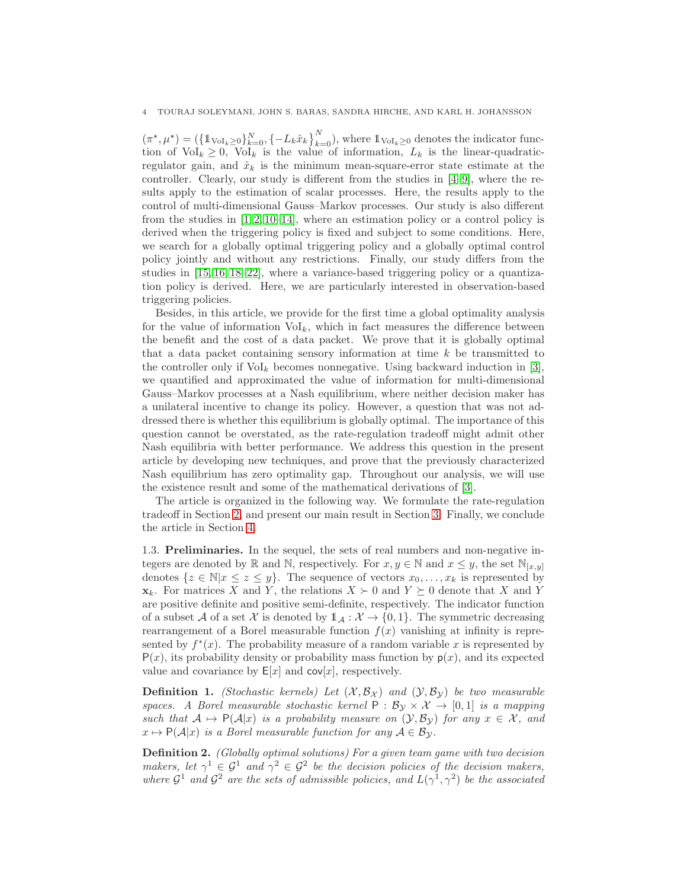$(\pi^*, \mu^*) = (\{1_{\text{Vol}_k \geq 0}\}_{k=0}^N, \{-L_k \hat{x}_k\}_{k=0}^N)$ , where  $1_{\text{Vol}_k \geq 0}$  denotes the indicator function of  $\text{Vol}_k \geq 0$ ,  $\text{Vol}_k$  is the value of information,  $L_k$  is the linear-quadraticregulator gain, and  $\hat{x}_k$  is the minimum mean-square-error state estimate at the controller. Clearly, our study is different from the studies in [\[4–](#page-14-3)[9\]](#page-15-0), where the results apply to the estimation of scalar processes. Here, the results apply to the control of multi-dimensional Gauss–Markov processes. Our study is also different from the studies in  $[1, 2, 10-14]$  $[1, 2, 10-14]$  $[1, 2, 10-14]$  $[1, 2, 10-14]$ , where an estimation policy or a control policy is derived when the triggering policy is fixed and subject to some conditions. Here, we search for a globally optimal triggering policy and a globally optimal control policy jointly and without any restrictions. Finally, our study differs from the studies in [\[15,](#page-15-6) [16,](#page-15-7) [18](#page-15-9)[–22\]](#page-15-13), where a variance-based triggering policy or a quantization policy is derived. Here, we are particularly interested in observation-based triggering policies.

Besides, in this article, we provide for the first time a global optimality analysis for the value of information  $\mathrm{Vol}_k$ , which in fact measures the difference between the benefit and the cost of a data packet. We prove that it is globally optimal that a data packet containing sensory information at time  $k$  be transmitted to the controller only if  $\text{Vol}_k$  becomes nonnegative. Using backward induction in [\[3\]](#page-14-2), we quantified and approximated the value of information for multi-dimensional Gauss–Markov processes at a Nash equilibrium, where neither decision maker has a unilateral incentive to change its policy. However, a question that was not addressed there is whether this equilibrium is globally optimal. The importance of this question cannot be overstated, as the rate-regulation tradeoff might admit other Nash equilibria with better performance. We address this question in the present article by developing new techniques, and prove that the previously characterized Nash equilibrium has zero optimality gap. Throughout our analysis, we will use the existence result and some of the mathematical derivations of [\[3\]](#page-14-2).

The article is organized in the following way. We formulate the rate-regulation tradeoff in Section [2,](#page-4-0) and present our main result in Section [3.](#page-5-0) Finally, we conclude the article in Section [4.](#page-13-0)

1.3. Preliminaries. In the sequel, the sets of real numbers and non-negative integers are denoted by R and N, respectively. For  $x, y \in \mathbb{N}$  and  $x \leq y$ , the set  $\mathbb{N}_{[x,y]}$ denotes  $\{z \in \mathbb{N} | x \leq z \leq y\}$ . The sequence of vectors  $x_0, \ldots, x_k$  is represented by  $\mathbf{x}_k$ . For matrices X and Y, the relations  $X \succ 0$  and  $Y \succeq 0$  denote that X and Y are positive definite and positive semi-definite, respectively. The indicator function of a subset A of a set X is denoted by  $1_A : X \to \{0,1\}$ . The symmetric decreasing rearrangement of a Borel measurable function  $f(x)$  vanishing at infinity is represented by  $f^*(x)$ . The probability measure of a random variable x is represented by  $P(x)$ , its probability density or probability mass function by  $p(x)$ , and its expected value and covariance by  $E[x]$  and  $cov[x]$ , respectively.

**Definition 1.** (Stochastic kernels) Let  $(\mathcal{X}, \mathcal{B}_{\mathcal{X}})$  and  $(\mathcal{Y}, \mathcal{B}_{\mathcal{Y}})$  be two measurable spaces. A Borel measurable stochastic kernel  $P : \mathcal{B}_{\mathcal{V}} \times \mathcal{X} \to [0,1]$  is a mapping such that  $A \mapsto P(A|x)$  is a probability measure on  $(\mathcal{Y}, \mathcal{B}_{\mathcal{Y}})$  for any  $x \in \mathcal{X}$ , and  $x \mapsto P(\mathcal{A}|x)$  is a Borel measurable function for any  $\mathcal{A} \in \mathcal{B}_{\mathcal{Y}}$ .

Definition 2. (Globally optimal solutions) For a given team game with two decision makers, let  $\gamma^1 \in \mathcal{G}^1$  and  $\gamma^2 \in \mathcal{G}^2$  be the decision policies of the decision makers, where  $\mathcal{G}^1$  and  $\mathcal{G}^2$  are the sets of admissible policies, and  $L(\gamma^1, \gamma^2)$  be the associated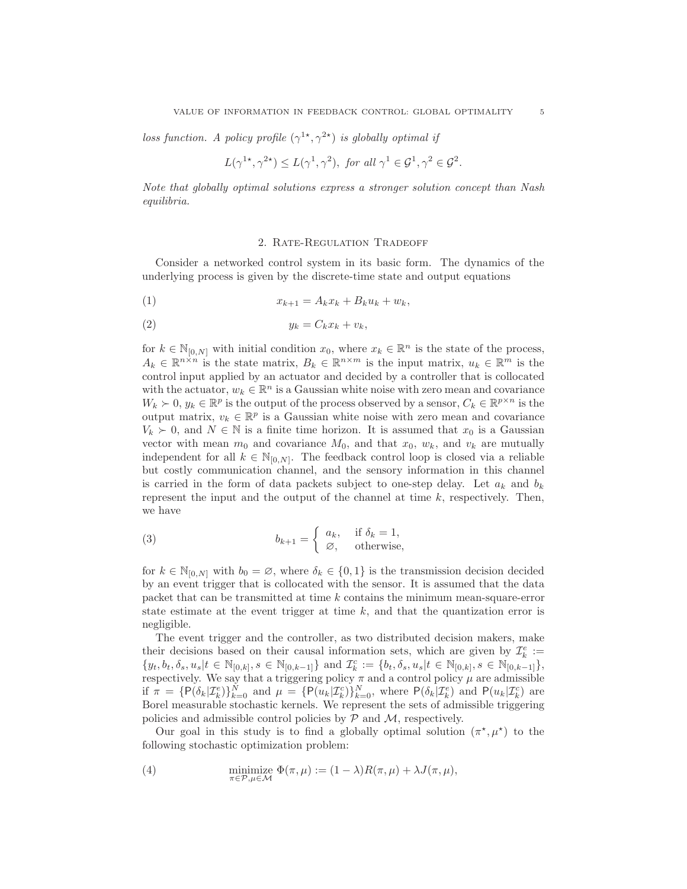loss function. A policy profile  $(\gamma^{1*}, \gamma^{2*})$  is globally optimal if

$$
L(\gamma^{1*}, \gamma^{2*}) \le L(\gamma^1, \gamma^2)
$$
, for all  $\gamma^1 \in \mathcal{G}^1, \gamma^2 \in \mathcal{G}^2$ .

Note that globally optimal solutions express a stronger solution concept than Nash equilibria.

### 2. Rate-Regulation Tradeoff

<span id="page-4-0"></span>Consider a networked control system in its basic form. The dynamics of the underlying process is given by the discrete-time state and output equations

<span id="page-4-3"></span>
$$
(1) \t\t x_{k+1} = A_k x_k + B_k u_k + w_k,
$$

$$
(2) \t\t y_k = C_k x_k + v_k,
$$

for  $k \in \mathbb{N}_{[0,N]}$  with initial condition  $x_0$ , where  $x_k \in \mathbb{R}^n$  is the state of the process,  $A_k \in \mathbb{R}^{n \times n}$  is the state matrix,  $B_k \in \mathbb{R}^{n \times m}$  is the input matrix,  $u_k \in \mathbb{R}^m$  is the control input applied by an actuator and decided by a controller that is collocated with the actuator,  $w_k \in \mathbb{R}^n$  is a Gaussian white noise with zero mean and covariance  $W_k \succ 0, y_k \in \mathbb{R}^p$  is the output of the process observed by a sensor,  $C_k \in \mathbb{R}^{p \times n}$  is the output matrix,  $v_k \in \mathbb{R}^p$  is a Gaussian white noise with zero mean and covariance  $V_k \succ 0$ , and  $N \in \mathbb{N}$  is a finite time horizon. It is assumed that  $x_0$  is a Gaussian vector with mean  $m_0$  and covariance  $M_0$ , and that  $x_0$ ,  $w_k$ , and  $v_k$  are mutually independent for all  $k \in \mathbb{N}_{[0,N]}$ . The feedback control loop is closed via a reliable but costly communication channel, and the sensory information in this channel is carried in the form of data packets subject to one-step delay. Let  $a_k$  and  $b_k$ represent the input and the output of the channel at time  $k$ , respectively. Then, we have

<span id="page-4-2"></span>(3) 
$$
b_{k+1} = \begin{cases} a_k, & \text{if } \delta_k = 1, \\ \varnothing, & \text{otherwise,} \end{cases}
$$

for  $k \in \mathbb{N}_{[0,N]}$  with  $b_0 = \emptyset$ , where  $\delta_k \in \{0,1\}$  is the transmission decision decided by an event trigger that is collocated with the sensor. It is assumed that the data packet that can be transmitted at time k contains the minimum mean-square-error state estimate at the event trigger at time  $k$ , and that the quantization error is negligible.

The event trigger and the controller, as two distributed decision makers, make their decisions based on their causal information sets, which are given by  $\mathcal{I}_k^e :=$  $\{y_t, b_t, \delta_s, u_s | t \in \mathbb{N}_{[0,k]}, s \in \mathbb{N}_{[0,k-1]}\}$  and  $\mathcal{I}_k^c := \{b_t, \delta_s, u_s | t \in \mathbb{N}_{[0,k]}, s \in \mathbb{N}_{[0,k-1]}\},$ respectively. We say that a triggering policy  $\pi$  and a control policy  $\mu$  are admissible if  $\pi = \{\mathsf{P}(\delta_k|\mathcal{I}_k^e)\}_{k=0}^N$  and  $\mu = \{\mathsf{P}(u_k|\mathcal{I}_k^c)\}_{k=0}^N$ , where  $\mathsf{P}(\delta_k|\mathcal{I}_k^e)$  and  $\mathsf{P}(u_k|\mathcal{I}_k^c)$  are Borel measurable stochastic kernels. We represent the sets of admissible triggering policies and admissible control policies by  $P$  and  $M$ , respectively.

Our goal in this study is to find a globally optimal solution  $(\pi^*, \mu^*)$  to the following stochastic optimization problem:

<span id="page-4-1"></span>(4) 
$$
\underset{\pi \in \mathcal{P}, \mu \in \mathcal{M}}{\text{minimize}} \ \Phi(\pi, \mu) := (1 - \lambda)R(\pi, \mu) + \lambda J(\pi, \mu),
$$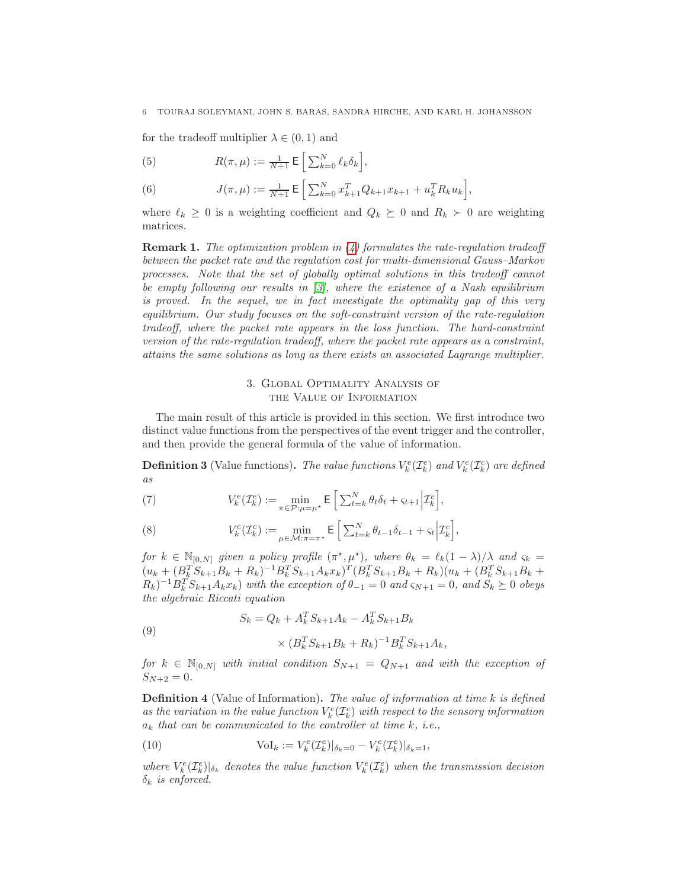for the tradeoff multiplier  $\lambda \in (0,1)$  and

(5) 
$$
R(\pi,\mu) := \frac{1}{N+1} \mathsf{E} \left[ \sum_{k=0}^{N} \ell_k \delta_k \right],
$$

(6) 
$$
J(\pi,\mu) := \frac{1}{N+1} \mathsf{E} \left[ \sum_{k=0}^{N} x_{k+1}^{T} Q_{k+1} x_{k+1} + u_{k}^{T} R_{k} u_{k} \right],
$$

where  $\ell_k \geq 0$  is a weighting coefficient and  $Q_k \succeq 0$  and  $R_k \succ 0$  are weighting matrices.

**Remark 1.** The optimization problem in  $(4)$  formulates the rate-regulation tradeoff between the packet rate and the regulation cost for multi-dimensional Gauss–Markov processes. Note that the set of globally optimal solutions in this tradeoff cannot be empty following our results in  $\beta$ , where the existence of a Nash equilibrium is proved. In the sequel, we in fact investigate the optimality gap of this very equilibrium. Our study focuses on the soft-constraint version of the rate-regulation tradeoff, where the packet rate appears in the loss function. The hard-constraint version of the rate-regulation tradeoff, where the packet rate appears as a constraint, attains the same solutions as long as there exists an associated Lagrange multiplier.

## 3. Global Optimality Analysis of the Value of Information

<span id="page-5-0"></span>The main result of this article is provided in this section. We first introduce two distinct value functions from the perspectives of the event trigger and the controller, and then provide the general formula of the value of information.

**Definition 3** (Value functions). The value functions  $V_k^e(\mathcal{I}_k^e)$  and  $V_k^c(\mathcal{I}_k^c)$  are defined as

(7) 
$$
V_k^e(\mathcal{I}_k^e) := \min_{\pi \in \mathcal{P} : \mu = \mu^*} \mathsf{E} \left[ \sum_{t=k}^N \theta_t \delta_t + \varsigma_{t+1} \Big| \mathcal{I}_k^e \right],
$$

(8) 
$$
V_k^c(\mathcal{I}_k^c) := \min_{\mu \in \mathcal{M} : \pi = \pi^*} \mathsf{E} \left[ \sum_{t=k}^N \theta_{t-1} \delta_{t-1} + \varsigma_t \Big| \mathcal{I}_k^c \right],
$$

for  $k \in \mathbb{N}_{[0,N]}$  given a policy profile  $(\pi^*, \mu^*)$ , where  $\theta_k = \ell_k(1 - \lambda)/\lambda$  and  $\varsigma_k =$  $(u_k + (B_k^T S_{k+1} B_k + R_k)^{-1} B_k^T S_{k+1} A_k x_k)^T (B_k^T S_{k+1} B_k + R_k)(u_k + (B_k^T S_{k+1} B_k + R_k)^T S_{k+1} A_k x_k)^T$  $(R_k)^{-1}B_k^T S_{k+1} A_k x_k$ ) with the exception of  $\theta_{-1} = 0$  and  $\varsigma_{N+1} = 0$ , and  $S_k \succeq 0$  obeys the algebraic Riccati equation

<span id="page-5-1"></span>(9)  
\n
$$
S_k = Q_k + A_k^T S_{k+1} A_k - A_k^T S_{k+1} B_k
$$
\n
$$
\times (B_k^T S_{k+1} B_k + R_k)^{-1} B_k^T S_{k+1} A_k,
$$

for  $k \in \mathbb{N}_{[0,N]}$  with initial condition  $S_{N+1} = Q_{N+1}$  and with the exception of  $S_{N+2} = 0.$ 

**Definition 4** (Value of Information). The value of information at time k is defined as the variation in the value function  $V_k^e(\mathcal{I}_k^e)$  with respect to the sensory information  $a_k$  that can be communicated to the controller at time k, i.e.,

(10) 
$$
\text{Vol}_k := V_k^e(\mathcal{I}_k^e)|_{\delta_k=0} - V_k^e(\mathcal{I}_k^e)|_{\delta_k=1},
$$

where  $V_k^e(\mathcal{I}_k^e)|_{\delta_k}$  denotes the value function  $V_k^e(\mathcal{I}_k^e)$  when the transmission decision  $\delta_k$  is enforced.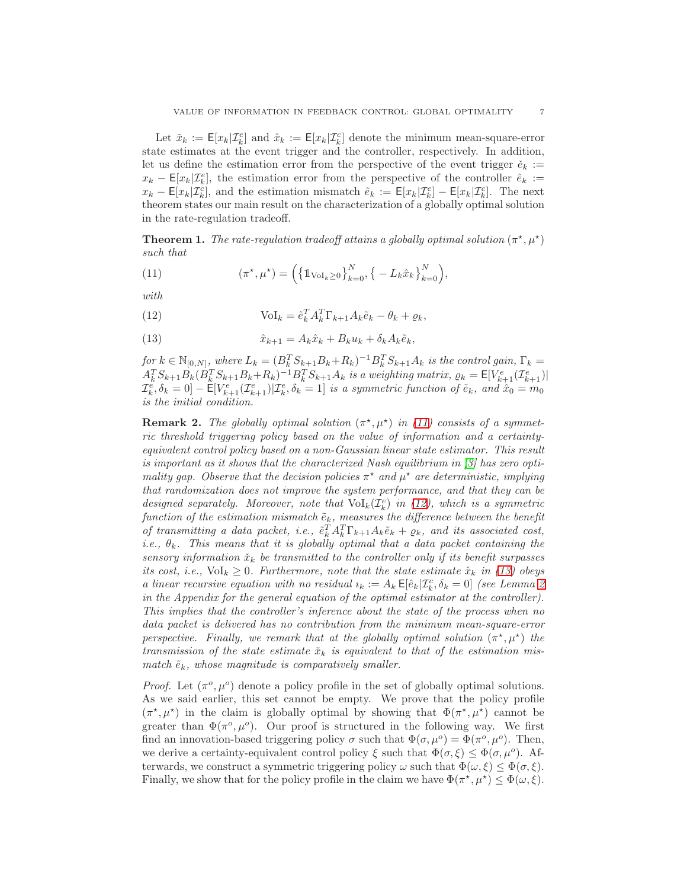Let  $\check{x}_k := \mathsf{E}[x_k | \mathcal{I}_k^e]$  and  $\hat{x}_k := \mathsf{E}[x_k | \mathcal{I}_k^c]$  denote the minimum mean-square-error state estimates at the event trigger and the controller, respectively. In addition, let us define the estimation error from the perspective of the event trigger  $\check{e}_k :=$  $x_k - \mathsf{E}[x_k|\mathcal{I}_k^e],$  the estimation error from the perspective of the controller  $\hat{e}_k :=$  $x_k - \mathsf{E}[x_k|\mathcal{I}_k^c]$ , and the estimation mismatch  $\tilde{e}_k := \mathsf{E}[x_k|\mathcal{I}_k^c] - \mathsf{E}[x_k|\mathcal{I}_k^c]$ . The next theorem states our main result on the characterization of a globally optimal solution in the rate-regulation tradeoff.

**Theorem 1.** The rate-regulation tradeoff attains a globally optimal solution  $(\pi^*, \mu^*)$ such that

<span id="page-6-0"></span>(11) 
$$
(\pi^*, \mu^*) = \left( \left\{ 1_{\text{Vol}_k \geq 0} \right\}_{k=0}^N, \left\{ -L_k \hat{x}_k \right\}_{k=0}^N \right),
$$

with

<span id="page-6-1"></span>(12) 
$$
\text{Vol}_k = \tilde{e}_k^T A_k^T \Gamma_{k+1} A_k \tilde{e}_k - \theta_k + \varrho_k,
$$

<span id="page-6-2"></span>(13) 
$$
\hat{x}_{k+1} = A_k \hat{x}_k + B_k u_k + \delta_k A_k \tilde{e}_k,
$$

for  $k \in \mathbb{N}_{[0,N]}$ , where  $L_k = (B_k^T S_{k+1} B_k + R_k)^{-1} B_k^T S_{k+1} A_k$  is the control gain,  $\Gamma_k =$  $A_k^T S_{k+1} B_k (B_k^T S_{k+1} B_k + R_k)^{-1} B_k^T S_{k+1} A_k$  is a weighting matrix,  $\varrho_k = \mathsf{E}[V_{k+1}^e(\mathcal{I}_{k+1}^e)]$  $\mathcal{I}_k^e, \delta_k = 0] - \mathsf{E}[V_{k+1}^e(\mathcal{I}_{k+1}^e)|\mathcal{I}_k^e, \delta_k = 1]$  is a symmetric function of  $\tilde{e}_k$ , and  $\hat{x}_0 = m_0$ is the initial condition.

**Remark 2.** The globally optimal solution  $(\pi^*, \mu^*)$  in [\(11\)](#page-6-0) consists of a symmetric threshold triggering policy based on the value of information and a certaintyequivalent control policy based on a non-Gaussian linear state estimator. This result is important as it shows that the characterized Nash equilibrium in  $\beta$  has zero optimality gap. Observe that the decision policies  $\pi^*$  and  $\mu^*$  are deterministic, implying that randomization does not improve the system performance, and that they can be designed separately. Moreover, note that  $\text{Vol}_k(\mathcal{I}_k^e)$  in [\(12\)](#page-6-1), which is a symmetric function of the estimation mismatch  $\tilde{e}_k$ , measures the difference between the benefit of transmitting a data packet, i.e.,  $\tilde{e}_k^T A_k^T \Gamma_{k+1} A_k \tilde{e}_k + \varrho_k$ , and its associated cost, i.e.,  $\theta_k$ . This means that it is globally optimal that a data packet containing the sensory information  $\tilde{x}_k$  be transmitted to the controller only if its benefit surpasses its cost, i.e.,  $\text{Vol}_k \geq 0$ . Furthermore, note that the state estimate  $\hat{x}_k$  in [\(13\)](#page-6-2) obeys a linear recursive equation with no residual  $i_k := A_k \mathsf{E}[\hat{e}_k | \mathcal{I}_k^c, \delta_k = 0]$  (see Lemma [2](#page-14-8)) in the Appendix for the general equation of the optimal estimator at the controller). This implies that the controller's inference about the state of the process when no data packet is delivered has no contribution from the minimum mean-square-error perspective. Finally, we remark that at the globally optimal solution  $(\pi^*, \mu^*)$  the transmission of the state estimate  $\tilde{x}_k$  is equivalent to that of the estimation mismatch  $\tilde{e}_k$ , whose magnitude is comparatively smaller.

Proof. Let  $(\pi^o, \mu^o)$  denote a policy profile in the set of globally optimal solutions. As we said earlier, this set cannot be empty. We prove that the policy profile  $(\pi^*, \mu^*)$  in the claim is globally optimal by showing that  $\Phi(\pi^*, \mu^*)$  cannot be greater than  $\Phi(\pi^o, \mu^o)$ . Our proof is structured in the following way. We first find an innovation-based triggering policy  $\sigma$  such that  $\Phi(\sigma, \mu^o) = \Phi(\pi^o, \mu^o)$ . Then, we derive a certainty-equivalent control policy  $\xi$  such that  $\Phi(\sigma,\xi) \leq \Phi(\sigma,\mu^o)$ . Afterwards, we construct a symmetric triggering policy  $\omega$  such that  $\Phi(\omega, \xi) \leq \Phi(\sigma, \xi)$ . Finally, we show that for the policy profile in the claim we have  $\Phi(\pi^*, \mu^*) \leq \Phi(\omega, \xi)$ .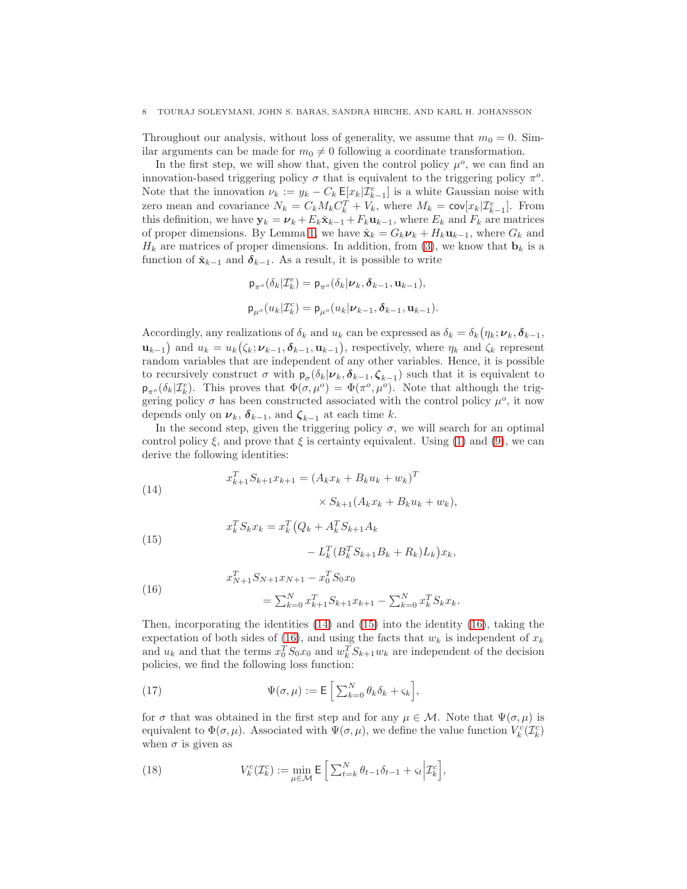### 8 TOURAJ SOLEYMANI, JOHN S. BARAS, SANDRA HIRCHE, AND KARL H. JOHANSSON

Throughout our analysis, without loss of generality, we assume that  $m_0 = 0$ . Similar arguments can be made for  $m_0 \neq 0$  following a coordinate transformation.

In the first step, we will show that, given the control policy  $\mu^o$ , we can find an innovation-based triggering policy  $\sigma$  that is equivalent to the triggering policy  $\pi^o$ . Note that the innovation  $\nu_k := y_k - C_k \mathsf{E}[x_k | \mathcal{I}_{k-1}^e]$  is a white Gaussian noise with zero mean and covariance  $N_k = C_k M_k C_k^T + V_k$ , where  $M_k = \text{cov}[x_k | \mathcal{I}_{k-1}^e]$ . From this definition, we have  $y_k = \nu_k + E_k \check{\mathbf{x}}_{k-1} + F_k \mathbf{u}_{k-1}$ , where  $E_k$  and  $F_k$  are matrices of proper dimensions. By Lemma [1,](#page-13-1) we have  $\check{\mathbf{x}}_k = G_k \mathbf{v}_k + H_k \mathbf{u}_{k-1}$ , where  $G_k$  and  $H_k$  are matrices of proper dimensions. In addition, from [\(3\)](#page-4-2), we know that  $\mathbf{b}_k$  is a function of  $\check{\mathbf{x}}_{k-1}$  and  $\delta_{k-1}$ . As a result, it is possible to write

$$
\mathsf{p}_{\pi^o}(\delta_k|\mathcal{I}_k^e) = \mathsf{p}_{\pi^o}(\delta_k|\nu_k, \delta_{k-1}, \mathbf{u}_{k-1}),
$$
  

$$
\mathsf{p}_{\mu^o}(u_k|\mathcal{I}_k^c) = \mathsf{p}_{\mu^o}(u_k|\nu_{k-1}, \delta_{k-1}, \mathbf{u}_{k-1}).
$$

Accordingly, any realizations of  $\delta_k$  and  $u_k$  can be expressed as  $\delta_k = \delta_k(\eta_k; \nu_k, \delta_{k-1},$  $\mathbf{u}_{k-1}$  and  $u_k = u_k(\zeta_k; \nu_{k-1}, \boldsymbol{\delta}_{k-1}, \mathbf{u}_{k-1}),$  respectively, where  $\eta_k$  and  $\zeta_k$  represent random variables that are independent of any other variables. Hence, it is possible to recursively construct  $\sigma$  with  $p_{\sigma}(\delta_k | \nu_k, \delta_{k-1}, \zeta_{k-1})$  such that it is equivalent to  $p_{\pi^o}(\delta_k|\mathcal{I}_k^e)$ . This proves that  $\Phi(\sigma,\mu^o) = \Phi(\pi^o,\mu^o)$ . Note that although the triggering policy  $\sigma$  has been constructed associated with the control policy  $\mu^o$ , it now depends only on  $\nu_k$ ,  $\delta_{k-1}$ , and  $\zeta_{k-1}$  at each time k.

In the second step, given the triggering policy  $\sigma$ , we will search for an optimal control policy  $\xi$ , and prove that  $\xi$  is certainty equivalent. Using [\(1\)](#page-4-3) and [\(9\)](#page-5-1), we can derive the following identities:

<span id="page-7-0"></span>(14) 
$$
x_{k+1}^T S_{k+1} x_{k+1} = (A_k x_k + B_k u_k + w_k)^T
$$

$$
\times S_{k+1} (A_k x_k + B_k u_k + w_k),
$$

<span id="page-7-1"></span>(15) 
$$
x_k^T S_k x_k = x_k^T (Q_k + A_k^T S_{k+1} A_k - L_k^T (B_k^T S_{k+1} B_k + R_k) L_k) x_k,
$$

<span id="page-7-2"></span>(16) 
$$
x_{N+1}^T S_{N+1} x_{N+1} - x_0^T S_0 x_0
$$

$$
= \sum_{k=0}^N x_{k+1}^T S_{k+1} x_{k+1} - \sum_{k=0}^N x_k^T S_k x_k.
$$

Then, incorporating the identities  $(14)$  and  $(15)$  into the identity  $(16)$ , taking the expectation of both sides of [\(16\)](#page-7-2), and using the facts that  $w_k$  is independent of  $x_k$ and  $u_k$  and that the terms  $x_0^T S_0 x_0$  and  $w_k^T S_{k+1} w_k$  are independent of the decision policies, we find the following loss function:

(17) 
$$
\Psi(\sigma,\mu) := \mathsf{E}\left[\sum_{k=0}^N \theta_k \delta_k + \varsigma_k\right],
$$

for  $\sigma$  that was obtained in the first step and for any  $\mu \in \mathcal{M}$ . Note that  $\Psi(\sigma, \mu)$  is equivalent to  $\Phi(\sigma,\mu)$ . Associated with  $\Psi(\sigma,\mu)$ , we define the value function  $V_k^c(\mathcal{I}_k^c)$ when  $\sigma$  is given as

(18) 
$$
V_k^c(\mathcal{I}_k^c) := \min_{\mu \in \mathcal{M}} \mathsf{E} \left[ \sum_{t=k}^N \theta_{t-1} \delta_{t-1} + \varsigma_t \Big| \mathcal{I}_k^c \right],
$$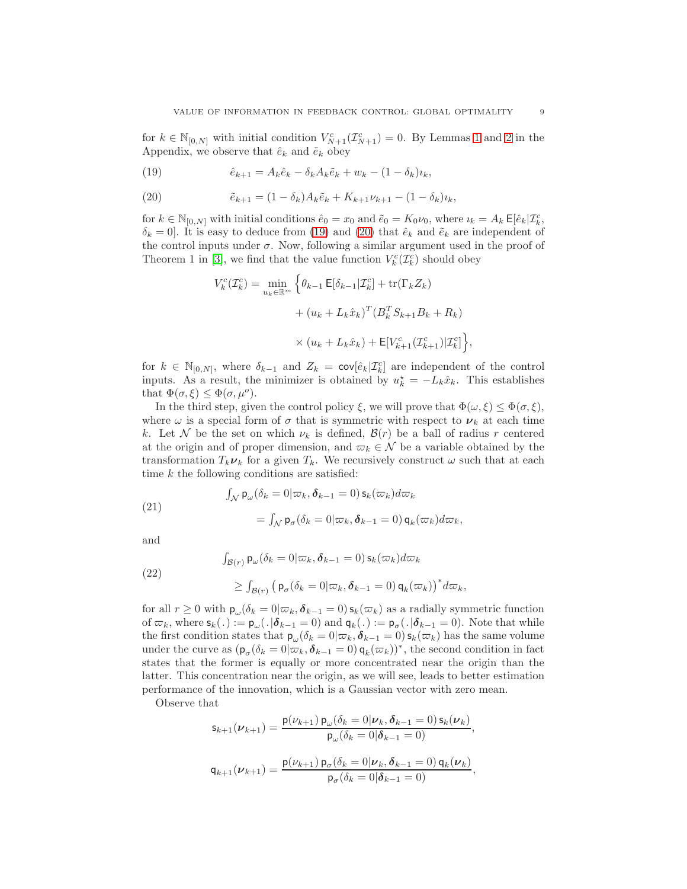for  $k \in \mathbb{N}_{[0,N]}$  with initial condition  $V^c_{N+1}(\mathcal{I}^c_{N+1}) = 0$ . By Lemmas [1](#page-13-1) and [2](#page-14-8) in the Appendix, we observe that  $\hat{e}_k$  and  $\tilde{e}_k$  obey

<span id="page-8-0"></span>(19) 
$$
\hat{e}_{k+1} = A_k \hat{e}_k - \delta_k A_k \tilde{e}_k + w_k - (1 - \delta_k) u_k,
$$

<span id="page-8-1"></span>(20) 
$$
\tilde{e}_{k+1} = (1 - \delta_k) A_k \tilde{e}_k + K_{k+1} \nu_{k+1} - (1 - \delta_k) \nu_k,
$$

for  $k \in \mathbb{N}_{[0,N]}$  with initial conditions  $\hat{e}_0 = x_0$  and  $\tilde{e}_0 = K_0 \nu_0$ , where  $i_k = A_k \mathsf{E}[\hat{e}_k | \mathcal{I}_k^c]$ ,  $\delta_k = 0$ . It is easy to deduce from [\(19\)](#page-8-0) and [\(20\)](#page-8-1) that  $\hat{e}_k$  and  $\tilde{e}_k$  are independent of the control inputs under  $\sigma$ . Now, following a similar argument used in the proof of Theorem 1 in [\[3\]](#page-14-2), we find that the value function  $V_k^c(\mathcal{I}_k^c)$  should obey

$$
V_k^c(\mathcal{I}_k^c) = \min_{u_k \in \mathbb{R}^m} \left\{ \theta_{k-1} \mathsf{E}[\delta_{k-1} | \mathcal{I}_k^c] + \text{tr}(\Gamma_k Z_k) \right.
$$

$$
+ (u_k + L_k \hat{x}_k)^T (B_k^T S_{k+1} B_k + R_k)
$$

$$
\times (u_k + L_k \hat{x}_k) + \mathsf{E}[V_{k+1}^c(\mathcal{I}_{k+1}^c) | \mathcal{I}_k^c] \right\},
$$

for  $k \in \mathbb{N}_{[0,N]}$ , where  $\delta_{k-1}$  and  $Z_k = \text{cov}[\hat{e}_k | \mathcal{I}_k^c]$  are independent of the control inputs. As a result, the minimizer is obtained by  $u_k^* = -L_k\hat{x}_k$ . This establishes that  $\Phi(\sigma,\xi) \leq \Phi(\sigma,\mu^o)$ .

In the third step, given the control policy  $\xi$ , we will prove that  $\Phi(\omega, \xi) \leq \Phi(\sigma, \xi)$ , where  $\omega$  is a special form of  $\sigma$  that is symmetric with respect to  $\nu_k$  at each time k. Let N be the set on which  $\nu_k$  is defined,  $\mathcal{B}(r)$  be a ball of radius r centered at the origin and of proper dimension, and  $\varpi_k \in \mathcal{N}$  be a variable obtained by the transformation  $T_k \nu_k$  for a given  $T_k$ . We recursively construct  $\omega$  such that at each time  $k$  the following conditions are satisfied:

<span id="page-8-2"></span>(21)  

$$
\int_{\mathcal{N}} \mathsf{p}_{\omega}(\delta_k = 0 | \varpi_k, \delta_{k-1} = 0) \, \mathsf{s}_k(\varpi_k) d\varpi_k
$$

$$
= \int_{\mathcal{N}} \mathsf{p}_{\sigma}(\delta_k = 0 | \varpi_k, \delta_{k-1} = 0) \, \mathsf{q}_k(\varpi_k) d\varpi_k,
$$

and

<span id="page-8-3"></span>(22)  

$$
\int_{\mathcal{B}(r)} \mathsf{p}_{\omega}(\delta_k = 0 | \varpi_k, \delta_{k-1} = 0) \, \mathsf{s}_k(\varpi_k) d\varpi_k
$$

$$
\geq \int_{\mathcal{B}(r)} \left( \mathsf{p}_{\sigma}(\delta_k = 0 | \varpi_k, \delta_{k-1} = 0) \, \mathsf{q}_k(\varpi_k) \right)^* d\varpi_k,
$$

for all  $r \geq 0$  with  $\mathsf{p}_{\omega}(\delta_k = 0 | \varpi_k, \delta_{k-1} = 0) \mathsf{s}_k(\varpi_k)$  as a radially symmetric function of  $\varpi_k$ , where  $\mathsf{s}_k(.) := \mathsf{p}_{\omega}(.|\boldsymbol{\delta}_{k-1} = 0)$  and  $\mathsf{q}_k(.) := \mathsf{p}_{\sigma}(.|\boldsymbol{\delta}_{k-1} = 0)$ . Note that while the first condition states that  $p_\omega(\delta_k = 0 | \varpi_k, \delta_{k-1} = 0) s_k(\varpi_k)$  has the same volume under the curve as  $(\mathbf{p}_{\sigma}(\delta_k=0|\varpi_k,\boldsymbol{\delta}_{k-1}=0)\mathbf{q}_k(\varpi_k))^*$ , the second condition in fact states that the former is equally or more concentrated near the origin than the latter. This concentration near the origin, as we will see, leads to better estimation performance of the innovation, which is a Gaussian vector with zero mean.

Observe that

$$
\mathsf{s}_{k+1}(\nu_{k+1}) = \frac{\mathsf{p}(\nu_{k+1})\,\mathsf{p}_{\omega}(\delta_k = 0|\nu_k, \delta_{k-1} = 0)\,\mathsf{s}_k(\nu_k)}{\mathsf{p}_{\omega}(\delta_k = 0|\delta_{k-1} = 0)},
$$
\n
$$
\mathsf{q}_{k+1}(\nu_{k+1}) = \frac{\mathsf{p}(\nu_{k+1})\,\mathsf{p}_{\sigma}(\delta_k = 0|\nu_k, \delta_{k-1} = 0)\,\mathsf{q}_k(\nu_k)}{\mathsf{p}_{\sigma}(\delta_k = 0|\delta_{k-1} = 0)},
$$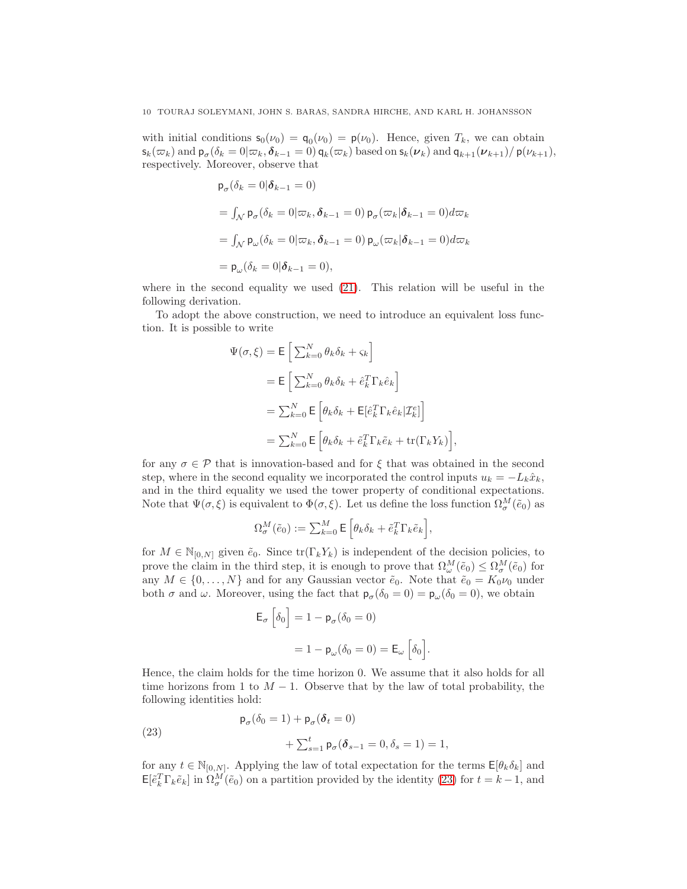with initial conditions  $\mathsf{s}_0(\nu_0) = \mathsf{q}_0(\nu_0) = \mathsf{p}(\nu_0)$ . Hence, given  $T_k$ , we can obtain  $\mathsf{s}_k(\varpi_k)$  and  $\mathsf{p}_\sigma(\delta_k=0|\varpi_k,\boldsymbol{\delta}_{k-1}=0)$   $\mathsf{q}_k(\varpi_k)$  based on  $\mathsf{s}_k(\boldsymbol{\nu}_k)$  and  $\mathsf{q}_{k+1}(\boldsymbol{\nu}_{k+1})/$   $\mathsf{p}(\nu_{k+1}),$ respectively. Moreover, observe that

$$
\begin{aligned} \mathsf{p}_{\sigma}(\delta_k = 0 | \boldsymbol{\delta}_{k-1} = 0) \\ &= \int_{\mathcal{N}} \mathsf{p}_{\sigma}(\delta_k = 0 | \varpi_k, \boldsymbol{\delta}_{k-1} = 0) \, \mathsf{p}_{\sigma}(\varpi_k | \boldsymbol{\delta}_{k-1} = 0) d\varpi_k \\ &= \int_{\mathcal{N}} \mathsf{p}_{\omega}(\delta_k = 0 | \varpi_k, \boldsymbol{\delta}_{k-1} = 0) \, \mathsf{p}_{\omega}(\varpi_k | \boldsymbol{\delta}_{k-1} = 0) d\varpi_k \\ &= \mathsf{p}_{\omega}(\delta_k = 0 | \boldsymbol{\delta}_{k-1} = 0), \end{aligned}
$$

where in the second equality we used [\(21\)](#page-8-2). This relation will be useful in the following derivation.

To adopt the above construction, we need to introduce an equivalent loss function. It is possible to write

 $\Psi$ 

$$
(\sigma, \xi) = \mathsf{E} \left[ \sum_{k=0}^{N} \theta_k \delta_k + \varsigma_k \right]
$$
  
\n
$$
= \mathsf{E} \left[ \sum_{k=0}^{N} \theta_k \delta_k + \hat{e}_k^T \Gamma_k \hat{e}_k \right]
$$
  
\n
$$
= \sum_{k=0}^{N} \mathsf{E} \left[ \theta_k \delta_k + \mathsf{E} [\hat{e}_k^T \Gamma_k \hat{e}_k | \mathcal{I}_k^e] \right]
$$
  
\n
$$
= \sum_{k=0}^{N} \mathsf{E} \left[ \theta_k \delta_k + \hat{e}_k^T \Gamma_k \tilde{e}_k + \text{tr}(\Gamma_k Y_k) \right],
$$

for any  $\sigma \in \mathcal{P}$  that is innovation-based and for  $\xi$  that was obtained in the second step, where in the second equality we incorporated the control inputs  $u_k = -L_k\hat{x}_k$ , and in the third equality we used the tower property of conditional expectations. Note that  $\Psi(\sigma,\xi)$  is equivalent to  $\Phi(\sigma,\xi)$ . Let us define the loss function  $\Omega_{\sigma}^M(\tilde{e}_0)$  as

$$
\Omega_{\sigma}^M(\tilde{e}_0) := \sum_{k=0}^M \mathsf{E} \left[ \theta_k \delta_k + \tilde{e}_k^T \Gamma_k \tilde{e}_k \right],
$$

for  $M \in \mathbb{N}_{[0,N]}$  given  $\tilde{e}_0$ . Since  $\text{tr}(\Gamma_k Y_k)$  is independent of the decision policies, to prove the claim in the third step, it is enough to prove that  $\Omega_{\omega}^M(\tilde{e}_0) \leq \Omega_{\sigma}^M(\tilde{e}_0)$  for any  $M \in \{0, \ldots, N\}$  and for any Gaussian vector  $\tilde{e}_0$ . Note that  $\tilde{e}_0 = K_0 \nu_0$  under both  $\sigma$  and  $\omega$ . Moreover, using the fact that  $\mathsf{p}_{\sigma}(\delta_0 = 0) = \mathsf{p}_{\omega}(\delta_0 = 0)$ , we obtain

$$
\mathsf{E}_{\sigma} \left[ \delta_0 \right] = 1 - \mathsf{p}_{\sigma} (\delta_0 = 0)
$$

$$
= 1 - \mathsf{p}_{\omega} (\delta_0 = 0) = \mathsf{E}_{\omega} \left[ \delta_0 \right]
$$

.

Hence, the claim holds for the time horizon 0. We assume that it also holds for all time horizons from 1 to  $M-1$ . Observe that by the law of total probability, the following identities hold:

<span id="page-9-0"></span>(23) 
$$
\mathsf{p}_{\sigma}(\delta_0 = 1) + \mathsf{p}_{\sigma}(\delta_t = 0) + \sum_{s=1}^t \mathsf{p}_{\sigma}(\delta_{s-1} = 0, \delta_s = 1) = 1,
$$

for any  $t \in \mathbb{N}_{[0,N]}$ . Applying the law of total expectation for the terms  $\mathsf{E}[\theta_k \delta_k]$  and  $\mathsf{E}[\tilde{e}_k^T \Gamma_k \tilde{e}_k]$  in  $\Omega_{\sigma}^M(\tilde{e}_0)$  on a partition provided by the identity [\(23\)](#page-9-0) for  $t = k - 1$ , and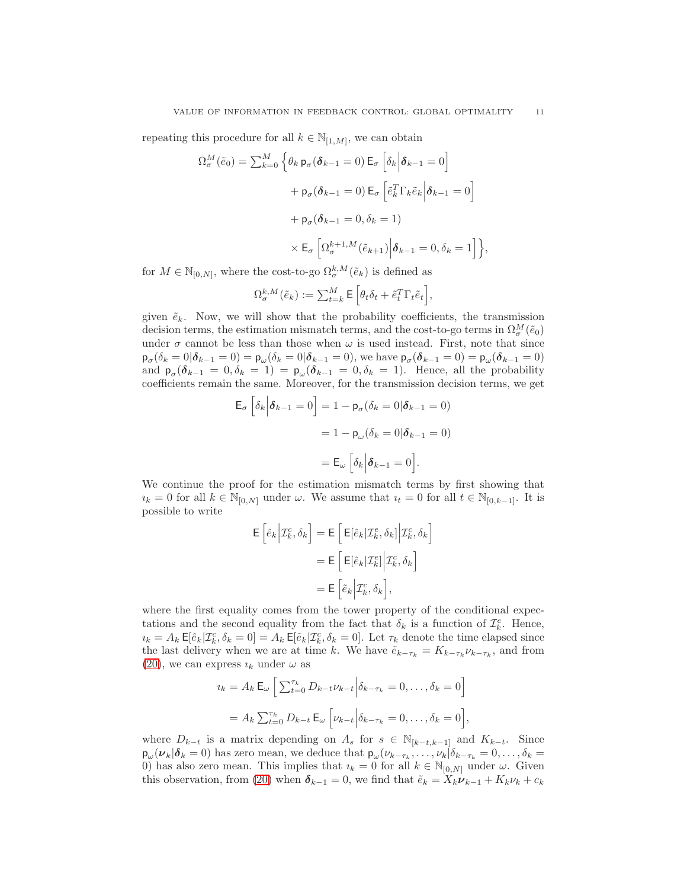repeating this procedure for all  $k \in \mathbb{N}_{[1,M]}$ , we can obtain

$$
\Omega_{\sigma}^{M}(\tilde{e}_{0}) = \sum_{k=0}^{M} \left\{ \theta_{k} \, \mathsf{p}_{\sigma}(\boldsymbol{\delta}_{k-1} = 0) \, \mathsf{E}_{\sigma} \left[ \delta_{k} \middle| \boldsymbol{\delta}_{k-1} = 0 \right] \right.
$$

$$
+ \mathsf{p}_{\sigma}(\boldsymbol{\delta}_{k-1} = 0) \, \mathsf{E}_{\sigma} \left[ \tilde{e}_{k}^{T} \Gamma_{k} \tilde{e}_{k} \middle| \boldsymbol{\delta}_{k-1} = 0 \right]
$$

$$
+ \mathsf{p}_{\sigma}(\boldsymbol{\delta}_{k-1} = 0, \delta_{k} = 1)
$$

$$
\times \mathsf{E}_{\sigma} \left[ \Omega_{\sigma}^{k+1,M}(\tilde{e}_{k+1}) \middle| \boldsymbol{\delta}_{k-1} = 0, \delta_{k} = 1 \right] \right\},
$$

for  $M \in \mathbb{N}_{[0,N]}$ , where the cost-to-go  $\Omega^{k,M}_{\sigma}(\tilde{e}_k)$  is defined as

$$
\Omega^{k,M}_\sigma(\tilde{e}_k) := \textstyle\sum_{t=k}^M \mathsf{E}\left[\theta_t\delta_t + \tilde{e}^T_t\Gamma_t\tilde{e}_t\right],
$$

given  $\tilde{e}_k$ . Now, we will show that the probability coefficients, the transmission decision terms, the estimation mismatch terms, and the cost-to-go terms in  $\Omega_{\sigma}^M(\tilde{e}_0)$ under  $\sigma$  cannot be less than those when  $\omega$  is used instead. First, note that since  $\mathsf{p}_{\sigma}(\delta_k = 0|\boldsymbol{\delta}_{k-1} = 0) = \mathsf{p}_{\omega}(\delta_k = 0|\boldsymbol{\delta}_{k-1} = 0)$ , we have  $\mathsf{p}_{\sigma}(\boldsymbol{\delta}_{k-1} = 0) = \mathsf{p}_{\omega}(\boldsymbol{\delta}_{k-1} = 0)$ and  $p_{\sigma}(\delta_{k-1} = 0, \delta_k = 1) = p_{\omega}(\delta_{k-1} = 0, \delta_k = 1)$ . Hence, all the probability coefficients remain the same. Moreover, for the transmission decision terms, we get

$$
\mathsf{E}_{\sigma} \left[ \delta_k \Big| \boldsymbol{\delta}_{k-1} = 0 \right] = 1 - \mathsf{p}_{\sigma} (\delta_k = 0 | \boldsymbol{\delta}_{k-1} = 0)
$$

$$
= 1 - \mathsf{p}_{\omega} (\delta_k = 0 | \boldsymbol{\delta}_{k-1} = 0)
$$

$$
= \mathsf{E}_{\omega} \left[ \delta_k \Big| \boldsymbol{\delta}_{k-1} = 0 \right].
$$

We continue the proof for the estimation mismatch terms by first showing that  $i_k = 0$  for all  $k \in \mathbb{N}_{[0,N]}$  under  $\omega$ . We assume that  $i_t = 0$  for all  $t \in \mathbb{N}_{[0,k-1]}$ . It is possible to write

$$
\mathsf{E}\left[\hat{e}_k \Big| \mathcal{I}_k^c, \delta_k\right] = \mathsf{E}\left[\mathsf{E}[\hat{e}_k | \mathcal{I}_k^e, \delta_k]\Big| \mathcal{I}_k^c, \delta_k\right]
$$

$$
= \mathsf{E}\left[\mathsf{E}[\hat{e}_k | \mathcal{I}_k^e]\Big| \mathcal{I}_k^c, \delta_k\right]
$$

$$
= \mathsf{E}\left[\tilde{e}_k \Big| \mathcal{I}_k^c, \delta_k\right],
$$

where the first equality comes from the tower property of the conditional expectations and the second equality from the fact that  $\delta_k$  is a function of  $\mathcal{I}_k^e$ . Hence,  $u_k = A_k \mathsf{E}[\hat{e}_k | \mathcal{I}_k^c, \delta_k = 0] = A_k \mathsf{E}[\tilde{e}_k | \mathcal{I}_k^c, \delta_k = 0].$  Let  $\tau_k$  denote the time elapsed since the last delivery when we are at time k. We have  $\tilde{e}_{k-\tau_k} = K_{k-\tau_k} \nu_{k-\tau_k}$ , and from [\(20\)](#page-8-1), we can express  $i_k$  under  $\omega$  as

$$
i_k = A_k \mathsf{E}_{\omega} \left[ \sum_{t=0}^{\tau_k} D_{k-t} \nu_{k-t} \middle| \delta_{k-\tau_k} = 0, \dots, \delta_k = 0 \right]
$$

$$
= A_k \sum_{t=0}^{\tau_k} D_{k-t} \mathsf{E}_{\omega} \left[ \nu_{k-t} \middle| \delta_{k-\tau_k} = 0, \dots, \delta_k = 0 \right],
$$

where  $D_{k-t}$  is a matrix depending on  $A_s$  for  $s \in \mathbb{N}_{[k-t,k-1]}$  and  $K_{k-t}$ . Since  $p_{\omega}(\nu_k|\delta_k=0)$  has zero mean, we deduce that  $p_{\omega}(\nu_{k-\tau_k},\ldots,\nu_k|\delta_{k-\tau_k}=0,\ldots,\delta_k=0)$ 0) has also zero mean. This implies that  $i_k = 0$  for all  $k \in \mathbb{N}_{[0,N]}$  under  $\omega$ . Given this observation, from [\(20\)](#page-8-1) when  $\delta_{k-1} = 0$ , we find that  $\tilde{e}_k = X_k \nu_{k-1} + K_k \nu_k + c_k$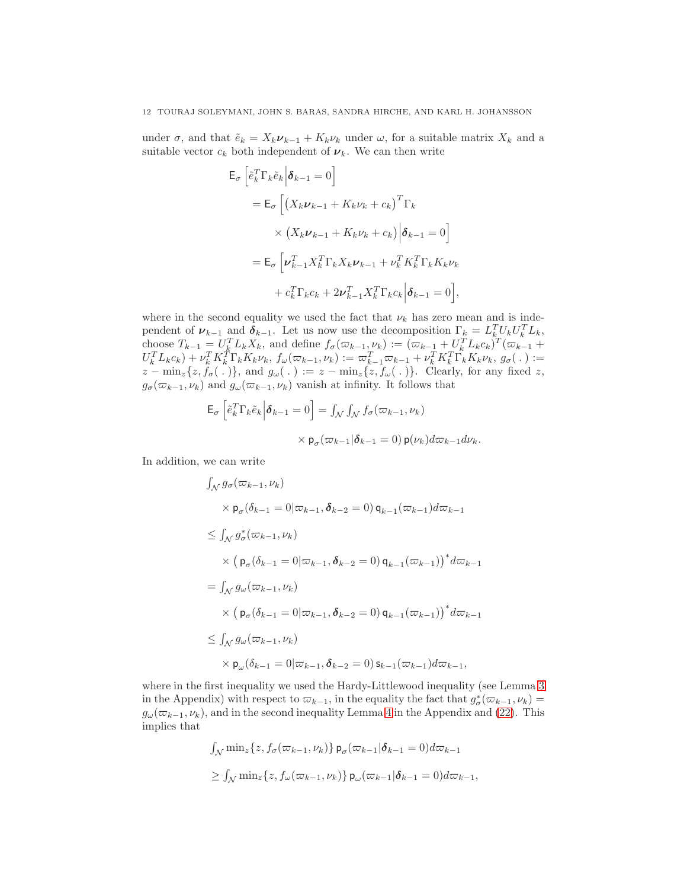under  $\sigma$ , and that  $\tilde{e}_k = X_k \nu_{k-1} + K_k \nu_k$  under  $\omega$ , for a suitable matrix  $X_k$  and a suitable vector  $c_k$  both independent of  $\nu_k$ . We can then write

$$
\mathsf{E}_{\sigma} \left[ \tilde{e}_{k}^{T} \Gamma_{k} \tilde{e}_{k} \middle| \boldsymbol{\delta}_{k-1} = 0 \right]
$$
\n
$$
= \mathsf{E}_{\sigma} \left[ \left( X_{k} \boldsymbol{\nu}_{k-1} + K_{k} \boldsymbol{\nu}_{k} + c_{k} \right)^{T} \Gamma_{k} \right]
$$
\n
$$
\times \left( X_{k} \boldsymbol{\nu}_{k-1} + K_{k} \boldsymbol{\nu}_{k} + c_{k} \right) \middle| \boldsymbol{\delta}_{k-1} = 0 \right]
$$
\n
$$
= \mathsf{E}_{\sigma} \left[ \boldsymbol{\nu}_{k-1}^{T} X_{k}^{T} \Gamma_{k} X_{k} \boldsymbol{\nu}_{k-1} + \boldsymbol{\nu}_{k}^{T} K_{k}^{T} \Gamma_{k} K_{k} \boldsymbol{\nu}_{k} \right]
$$
\n
$$
+ c_{k}^{T} \Gamma_{k} c_{k} + 2 \boldsymbol{\nu}_{k-1}^{T} X_{k}^{T} \Gamma_{k} c_{k} \middle| \boldsymbol{\delta}_{k-1} = 0 \right],
$$

where in the second equality we used the fact that  $\nu_k$  has zero mean and is independent of  $\nu_{k-1}$  and  $\delta_{k-1}$ . Let us now use the decomposition  $\Gamma_k = L_k^T U_k U_k^T L_k$ , choose  $T_{k-1} = U_k^T L_k X_k$ , and define  $f_\sigma(\varpi_{k-1}, \nu_k) := (\varpi_{k-1} + U_k^T L_k c_k)^T (\varpi_{k-1} +$  $U_k^T L_k c_k + v_k^T K_k^T \Gamma_k K_k \nu_k, f_\omega(\varpi_{k-1}, \nu_k) := \varpi_{k-1}^T \varpi_{k-1} + \nu_k^T K_k^T \Gamma_k K_k \nu_k, g_\sigma(\ .) :=$  $z - \min_z\{z, f_\sigma(\,.\,) \},$  and  $g_\omega(\,.\,) := z - \min_z\{z, f_\omega(\,.\,) \}.$  Clearly, for any fixed z,  $g_{\sigma}(\varpi_{k-1}, \nu_k)$  and  $g_{\omega}(\varpi_{k-1}, \nu_k)$  vanish at infinity. It follows that

$$
\mathsf{E}_{\sigma} \left[ \tilde{e}_k^T \Gamma_k \tilde{e}_k \middle| \boldsymbol{\delta}_{k-1} = 0 \right] = \int_{\mathcal{N}} \int_{\mathcal{N}} f_{\sigma}(\varpi_{k-1}, \nu_k)
$$

$$
\times \mathsf{p}_{\sigma}(\varpi_{k-1} | \boldsymbol{\delta}_{k-1} = 0) \, \mathsf{p}(\nu_k) d\varpi_{k-1} d\nu_k.
$$

In addition, we can write

$$
\int_{\mathcal{N}} g_{\sigma}(\varpi_{k-1}, \nu_{k})
$$
\n
$$
\times \mathsf{p}_{\sigma}(\delta_{k-1} = 0 | \varpi_{k-1}, \delta_{k-2} = 0) \mathsf{q}_{k-1}(\varpi_{k-1}) d \varpi_{k-1}
$$
\n
$$
\leq \int_{\mathcal{N}} g_{\sigma}^{*}(\varpi_{k-1}, \nu_{k})
$$
\n
$$
\times \left( \mathsf{p}_{\sigma}(\delta_{k-1} = 0 | \varpi_{k-1}, \delta_{k-2} = 0) \mathsf{q}_{k-1}(\varpi_{k-1}) \right)^{*} d \varpi_{k-1}
$$
\n
$$
= \int_{\mathcal{N}} g_{\omega}(\varpi_{k-1}, \nu_{k})
$$
\n
$$
\times \left( \mathsf{p}_{\sigma}(\delta_{k-1} = 0 | \varpi_{k-1}, \delta_{k-2} = 0) \mathsf{q}_{k-1}(\varpi_{k-1}) \right)^{*} d \varpi_{k-1}
$$
\n
$$
\leq \int_{\mathcal{N}} g_{\omega}(\varpi_{k-1}, \nu_{k})
$$
\n
$$
\times \mathsf{p}_{\omega}(\delta_{k-1} = 0 | \varpi_{k-1}, \delta_{k-2} = 0) \mathsf{s}_{k-1}(\varpi_{k-1}) d \varpi_{k-1},
$$

where in the first inequality we used the Hardy-Littlewood inequality (see Lemma [3](#page-14-9) in the Appendix) with respect to  $\varpi_{k-1}$ , in the equality the fact that  $g_{\sigma}^{*}(\varpi_{k-1}, \nu_{k}) =$  $g_{\omega}(\varpi_{k-1}, \nu_k)$ , and in the second inequality Lemma [4](#page-14-10) in the Appendix and [\(22\)](#page-8-3). This implies that

$$
\int_{\mathcal{N}} \min_{z} \{z, f_{\sigma}(\varpi_{k-1}, \nu_k) \} \mathsf{p}_{\sigma}(\varpi_{k-1} | \delta_{k-1} = 0) d\varpi_{k-1}
$$
  

$$
\geq \int_{\mathcal{N}} \min_{z} \{z, f_{\omega}(\varpi_{k-1}, \nu_k) \} \mathsf{p}_{\omega}(\varpi_{k-1} | \delta_{k-1} = 0) d\varpi_{k-1},
$$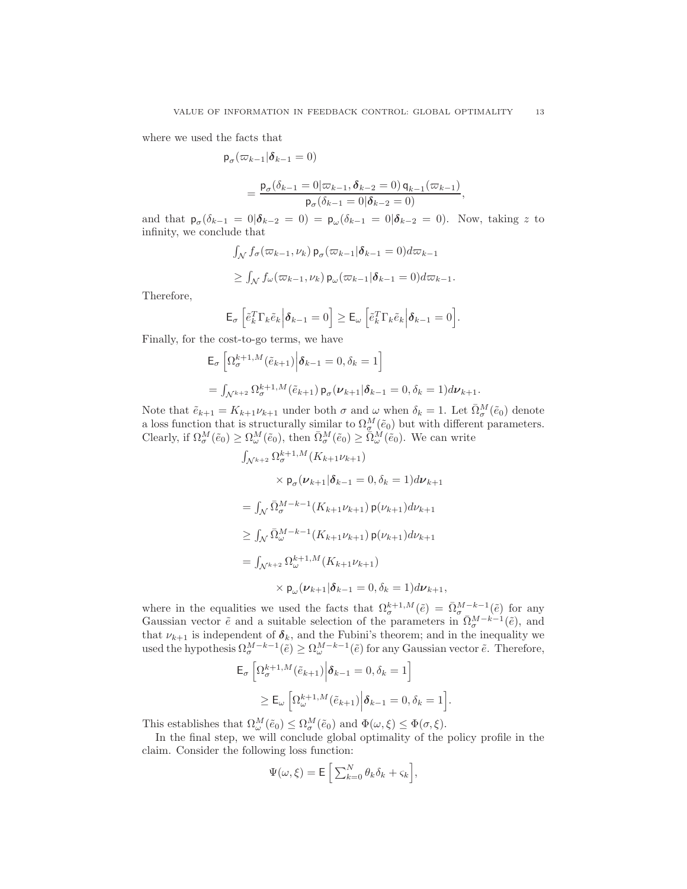where we used the facts that

$$
\mathsf{p}_{\sigma}(\varpi_{k-1}|\boldsymbol{\delta}_{k-1}=0)
$$

$$
= \frac{p_{\sigma}(\delta_{k-1} = 0 | \varpi_{k-1}, \delta_{k-2} = 0) q_{k-1}(\varpi_{k-1})}{p_{\sigma}(\delta_{k-1} = 0 | \delta_{k-2} = 0)},
$$

and that  $\mathsf{p}_{\sigma}(\delta_{k-1} = 0 | \boldsymbol{\delta}_{k-2} = 0) = \mathsf{p}_{\omega}(\delta_{k-1} = 0 | \boldsymbol{\delta}_{k-2} = 0)$ . Now, taking z to infinity, we conclude that

$$
\int_{\mathcal{N}} f_{\sigma}(\varpi_{k-1}, \nu_k) \mathsf{p}_{\sigma}(\varpi_{k-1}|\boldsymbol{\delta}_{k-1} = 0) d\varpi_{k-1}
$$
  

$$
\geq \int_{\mathcal{N}} f_{\omega}(\varpi_{k-1}, \nu_k) \mathsf{p}_{\omega}(\varpi_{k-1}|\boldsymbol{\delta}_{k-1} = 0) d\varpi_{k-1}.
$$

Therefore,

$$
\mathsf{E}_{\sigma}\left[\tilde{e}_k^T\Gamma_k\tilde{e}_k\Big|\boldsymbol{\delta}_{k-1}=0\right]\geq \mathsf{E}_{\omega}\left[\tilde{e}_k^T\Gamma_k\tilde{e}_k\Big|\boldsymbol{\delta}_{k-1}=0\right].
$$

Finally, for the cost-to-go terms, we have

$$
\mathsf{E}_{\sigma} \left[ \Omega_{\sigma}^{k+1,M}(\tilde{e}_{k+1}) \Big| \boldsymbol{\delta}_{k-1} = 0, \delta_{k} = 1 \right]
$$
  
=  $\int_{\mathcal{N}^{k+2}} \Omega_{\sigma}^{k+1,M}(\tilde{e}_{k+1}) \mathsf{p}_{\sigma}(\nu_{k+1} | \boldsymbol{\delta}_{k-1} = 0, \delta_{k} = 1) d \nu_{k+1}.$ 

Note that  $\tilde{e}_{k+1} = K_{k+1} \nu_{k+1}$  under both  $\sigma$  and  $\omega$  when  $\delta_k = 1$ . Let  $\bar{\Omega}^M_{\sigma}(\tilde{e}_0)$  denote a loss function that is structurally similar to  $\Omega_{\sigma}^{M}(\tilde{e}_{0})$  but with different parameters. Clearly, if  $\Omega_{\sigma}^{M}(\tilde{e}_{0}) \geq \Omega_{\omega}^{M}(\tilde{e}_{0}),$  then  $\bar{\Omega}_{\sigma}^{M}(\tilde{e}_{0}) \geq \bar{\Omega}_{\omega}^{M}(\tilde{e}_{0}).$  We can write

$$
\int_{\mathcal{N}^{k+2}} \Omega_{\sigma}^{k+1,M}(K_{k+1}\nu_{k+1})
$$
\n
$$
\times \mathsf{p}_{\sigma}(\nu_{k+1}|\delta_{k-1}=0,\delta_k=1)d\nu_{k+1}
$$
\n
$$
= \int_{\mathcal{N}} \bar{\Omega}_{\sigma}^{M-k-1}(K_{k+1}\nu_{k+1})\mathsf{p}(\nu_{k+1})d\nu_{k+1}
$$
\n
$$
\geq \int_{\mathcal{N}} \bar{\Omega}_{\omega}^{M-k-1}(K_{k+1}\nu_{k+1})\mathsf{p}(\nu_{k+1})d\nu_{k+1}
$$
\n
$$
= \int_{\mathcal{N}^{k+2}} \Omega_{\omega}^{k+1,M}(K_{k+1}\nu_{k+1})
$$
\n
$$
\times \mathsf{p}_{\omega}(\nu_{k+1}|\delta_{k-1}=0,\delta_k=1)d\nu_{k+1},
$$

where in the equalities we used the facts that  $\Omega_{\sigma}^{k+1,M}(\tilde{e}) = \overline{\Omega}_{\sigma}^{M-k-1}(\tilde{e})$  for any Gaussian vector  $\tilde{e}$  and a suitable selection of the parameters in  $\overline{\Omega}^{M-k-1}_{\sigma}(\tilde{e})$ , and that  $\nu_{k+1}$  is independent of  $\delta_k$ , and the Fubini's theorem; and in the inequality we used the hypothesis  $\Omega^{M-k-1}_{\sigma}(\tilde{e}) \geq \Omega^{M-k-1}_{\omega}(\tilde{e})$  for any Gaussian vector  $\tilde{e}$ . Therefore,

$$
\mathsf{E}_{\sigma} \left[ \Omega_{\sigma}^{k+1,M}(\tilde{e}_{k+1}) \Big| \boldsymbol{\delta}_{k-1} = 0, \delta_{k} = 1 \right]
$$
  

$$
\geq \mathsf{E}_{\omega} \left[ \Omega_{\omega}^{k+1,M}(\tilde{e}_{k+1}) \Big| \boldsymbol{\delta}_{k-1} = 0, \delta_{k} = 1 \right].
$$

This establishes that  $\Omega_{\omega}^{M}(\tilde{e}_{0}) \leq \Omega_{\sigma}^{M}(\tilde{e}_{0})$  and  $\Phi(\omega,\xi) \leq \Phi(\sigma,\xi)$ .

In the final step, we will conclude global optimality of the policy profile in the claim. Consider the following loss function:

$$
\Psi(\omega,\xi) = \mathsf{E}\left[\sum_{k=0}^{N} \theta_k \delta_k + \varsigma_k\right],
$$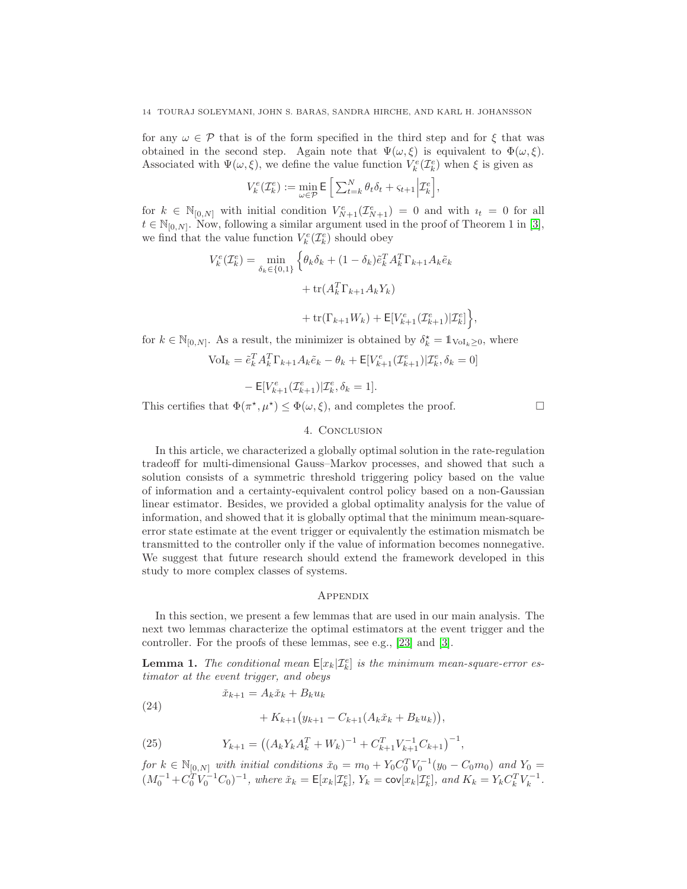for any  $\omega \in \mathcal{P}$  that is of the form specified in the third step and for  $\xi$  that was obtained in the second step. Again note that  $\Psi(\omega, \xi)$  is equivalent to  $\Phi(\omega, \xi)$ . Associated with  $\Psi(\omega,\xi)$ , we define the value function  $V_k^e(\mathcal{I}_k^e)$  when  $\xi$  is given as

$$
V_k^e(\mathcal{I}_k^e) := \min_{\omega \in \mathcal{P}} \mathsf{E}\left[\sum_{t=k}^N \theta_t \delta_t + \varsigma_{t+1} \Big| \mathcal{I}_k^e\right],
$$

for  $k \in \mathbb{N}_{[0,N]}$  with initial condition  $V^e_{N+1}(\mathcal{I}^e_{N+1}) = 0$  and with  $i_t = 0$  for all  $t \in \mathbb{N}_{[0,N]}$ . Now, following a similar argument used in the proof of Theorem 1 in [\[3\]](#page-14-2), we find that the value function  $V_k^e(\mathcal{I}_k^e)$  should obey

$$
V_k^e(\mathcal{I}_k^e) = \min_{\delta_k \in \{0,1\}} \left\{ \theta_k \delta_k + (1 - \delta_k) \tilde{e}_k^T A_k^T \Gamma_{k+1} A_k \tilde{e}_k + \text{tr}(A_k^T \Gamma_{k+1} A_k Y_k) + \text{tr}(\Gamma_{k+1} W_k) + \text{E}[V_{k+1}^e(\mathcal{I}_{k+1}^e) | \mathcal{I}_k^e] \right\},
$$

for  $k \in \mathbb{N}_{[0,N]}$ . As a result, the minimizer is obtained by  $\delta_k^* = \mathbb{1}_{\{\text{Vol}_k \geq 0\}}$ , where

$$
\text{Vol}_k = \tilde{e}_k^T A_k^T \Gamma_{k+1} A_k \tilde{e}_k - \theta_k + \mathsf{E}[V_{k+1}^e(\mathcal{I}_{k+1}^e) | \mathcal{I}_k^e, \delta_k = 0]
$$

$$
-\mathsf{E}[V^e_{k+1}(\mathcal{I}^e_{k+1})|\mathcal{I}^e_{k},\delta_k=1].
$$

<span id="page-13-0"></span>This certifies that  $\Phi(\pi^*, \mu^*) \leq \Phi(\omega, \xi)$ , and completes the proof.

## 4. CONCLUSION

In this article, we characterized a globally optimal solution in the rate-regulation tradeoff for multi-dimensional Gauss–Markov processes, and showed that such a solution consists of a symmetric threshold triggering policy based on the value of information and a certainty-equivalent control policy based on a non-Gaussian linear estimator. Besides, we provided a global optimality analysis for the value of information, and showed that it is globally optimal that the minimum mean-squareerror state estimate at the event trigger or equivalently the estimation mismatch be transmitted to the controller only if the value of information becomes nonnegative. We suggest that future research should extend the framework developed in this study to more complex classes of systems.

## **APPENDIX**

In this section, we present a few lemmas that are used in our main analysis. The next two lemmas characterize the optimal estimators at the event trigger and the controller. For the proofs of these lemmas, see e.g., [\[23\]](#page-15-14) and [\[3\]](#page-14-2).

<span id="page-13-1"></span>**Lemma 1.** The conditional mean  $E[x_k|\mathcal{I}_k^e]$  is the minimum mean-square-error estimator at the event trigger, and obeys

(24) 
$$
\tilde{x}_{k+1} = A_k \tilde{x}_k + B_k u_k + K_{k+1} (y_{k+1} - C_{k+1} (A_k \tilde{x}_k + B_k u_k)),
$$

(25) 
$$
Y_{k+1} = ((A_k Y_k A_k^T + W_k)^{-1} + C_{k+1}^T V_{k+1}^{-1} C_{k+1})^{-1},
$$

for  $k \in \mathbb{N}_{[0,N]}$  with initial conditions  $\check{x}_0 = m_0 + Y_0 C_0^T V_0^{-1} (y_0 - C_0 m_0)$  and  $Y_0 =$  $(M_0^{-1} + C_0^T V_0^{-1} C_0)^{-1}$ , where  $\check{x}_k = \mathsf{E}[x_k | \mathcal{I}_k^e]$ ,  $Y_k = \mathsf{cov}[x_k | \mathcal{I}_k^e]$ , and  $K_k = Y_k C_k^T V_k^{-1}$ .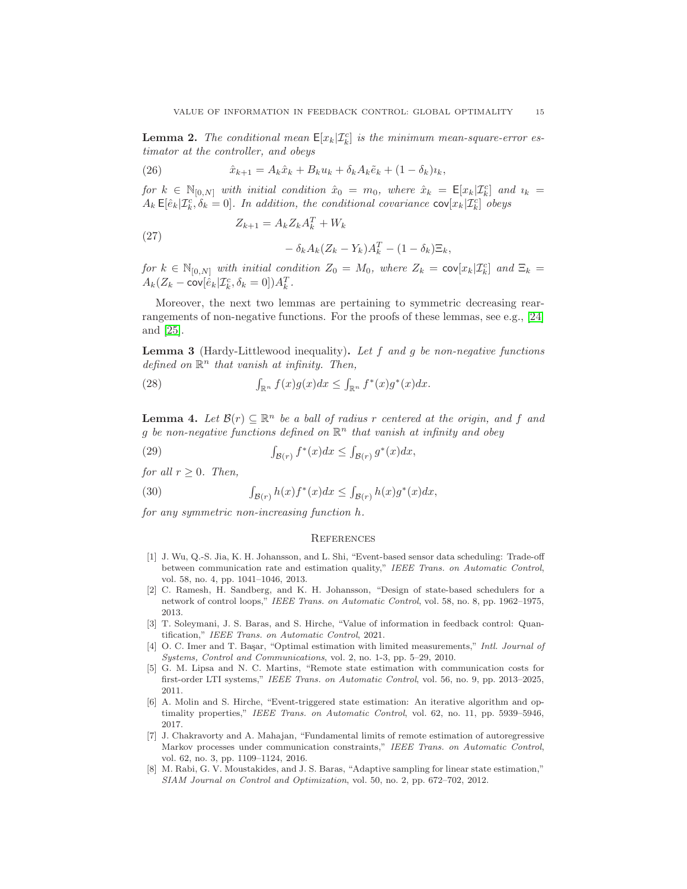<span id="page-14-8"></span>**Lemma 2.** The conditional mean  $E[x_k|\mathcal{I}_k^c]$  is the minimum mean-square-error estimator at the controller, and obeys

(26) 
$$
\hat{x}_{k+1} = A_k \hat{x}_k + B_k u_k + \delta_k A_k \tilde{e}_k + (1 - \delta_k) u_k,
$$

for  $k \in \mathbb{N}_{[0,N]}$  with initial condition  $\hat{x}_0 = m_0$ , where  $\hat{x}_k = \mathsf{E}[x_k | \mathcal{I}_k^c]$  and  $u_k =$  $A_k \mathsf{E}[\hat{e}_k|\mathcal{I}_k^c,\delta_k=0].$  In addition, the conditional covariance  $\text{cov}[x_k|\mathcal{I}_k^c]$  obeys

(27) 
$$
Z_{k+1} = A_k Z_k A_k^T + W_k
$$

$$
- \delta_k A_k (Z_k - Y_k) A_k^T - (1 - \delta_k) \Xi_k,
$$

for  $k \in \mathbb{N}_{[0,N]}$  with initial condition  $Z_0 = M_0$ , where  $Z_k = \text{cov}[x_k | \mathcal{I}_k^c]$  and  $\Xi_k =$  $A_k(Z_k - \text{cov}[\hat{e}_k | \mathcal{I}_k^c, \delta_k = 0]) A_k^T.$ 

Moreover, the next two lemmas are pertaining to symmetric decreasing rearrangements of non-negative functions. For the proofs of these lemmas, see e.g., [\[24\]](#page-15-15) and [\[25\]](#page-15-16).

<span id="page-14-9"></span>**Lemma 3** (Hardy-Littlewood inequality). Let  $f$  and  $g$  be non-negative functions defined on  $\mathbb{R}^n$  that vanish at infinity. Then,

(28) 
$$
\int_{\mathbb{R}^n} f(x)g(x)dx \leq \int_{\mathbb{R}^n} f^*(x)g^*(x)dx.
$$

<span id="page-14-10"></span>**Lemma 4.** Let  $\mathcal{B}(r) \subseteq \mathbb{R}^n$  be a ball of radius r centered at the origin, and f and g be non-negative functions defined on  $\mathbb{R}^n$  that vanish at infinity and obey

(29) 
$$
\int_{\mathcal{B}(r)} f^*(x) dx \le \int_{\mathcal{B}(r)} g^*(x) dx,
$$

for all  $r \geq 0$ . Then,

(30) 
$$
\int_{\mathcal{B}(r)} h(x) f^*(x) dx \leq \int_{\mathcal{B}(r)} h(x) g^*(x) dx,
$$

for any symmetric non-increasing function h.

## **REFERENCES**

- <span id="page-14-0"></span>[1] J. Wu, Q.-S. Jia, K. H. Johansson, and L. Shi, "Event-based sensor data scheduling: Trade-off between communication rate and estimation quality," IEEE Trans. on Automatic Control, vol. 58, no. 4, pp. 1041–1046, 2013.
- <span id="page-14-1"></span>[2] C. Ramesh, H. Sandberg, and K. H. Johansson, "Design of state-based schedulers for a network of control loops," IEEE Trans. on Automatic Control, vol. 58, no. 8, pp. 1962–1975, 2013.
- <span id="page-14-2"></span>[3] T. Soleymani, J. S. Baras, and S. Hirche, "Value of information in feedback control: Quantification," IEEE Trans. on Automatic Control, 2021.
- <span id="page-14-3"></span>[4] O. C. Imer and T. Başar, "Optimal estimation with limited measurements," Intl. Journal of Systems, Control and Communications, vol. 2, no. 1-3, pp. 5–29, 2010.
- <span id="page-14-4"></span>[5] G. M. Lipsa and N. C. Martins, "Remote state estimation with communication costs for first-order LTI systems," IEEE Trans. on Automatic Control, vol. 56, no. 9, pp. 2013–2025, 2011.
- <span id="page-14-5"></span>[6] A. Molin and S. Hirche, "Event-triggered state estimation: An iterative algorithm and optimality properties," IEEE Trans. on Automatic Control, vol. 62, no. 11, pp. 5939–5946, 2017.
- <span id="page-14-6"></span>[7] J. Chakravorty and A. Mahajan, "Fundamental limits of remote estimation of autoregressive Markov processes under communication constraints," IEEE Trans. on Automatic Control, vol. 62, no. 3, pp. 1109–1124, 2016.
- <span id="page-14-7"></span>[8] M. Rabi, G. V. Moustakides, and J. S. Baras, "Adaptive sampling for linear state estimation," SIAM Journal on Control and Optimization, vol. 50, no. 2, pp. 672–702, 2012.